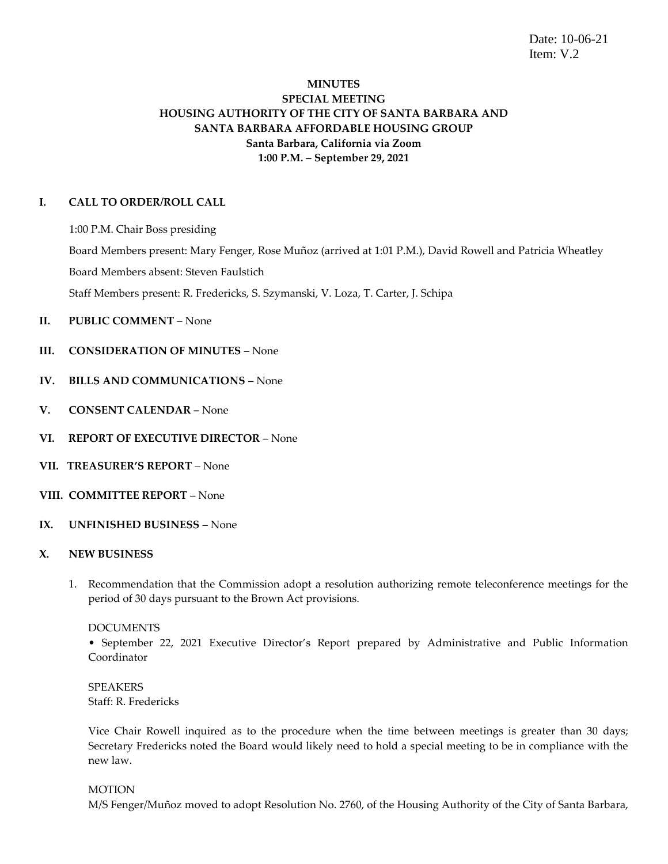Date: 10-06-21 Item: V.2

# **MINUTES SPECIAL MEETING HOUSING AUTHORITY OF THE CITY OF SANTA BARBARA AND SANTA BARBARA AFFORDABLE HOUSING GROUP Santa Barbara, California via Zoom 1:00 P.M. – September 29, 2021**

### **I. CALL TO ORDER/ROLL CALL**

1:00 P.M. Chair Boss presiding

Board Members present: Mary Fenger, Rose Muñoz (arrived at 1:01 P.M.), David Rowell and Patricia Wheatley

Board Members absent: Steven Faulstich

Staff Members present: R. Fredericks, S. Szymanski, V. Loza, T. Carter, J. Schipa

- **II. PUBLIC COMMENT** None
- **III. CONSIDERATION OF MINUTES** None
- **IV. BILLS AND COMMUNICATIONS –** None
- **V. CONSENT CALENDAR –** None
- **VI. REPORT OF EXECUTIVE DIRECTOR** None
- **VII. TREASURER'S REPORT** None
- **VIII. COMMITTEE REPORT**  None
- **IX. UNFINISHED BUSINESS**  None

#### **X. NEW BUSINESS**

1. Recommendation that the Commission adopt a resolution authorizing remote teleconference meetings for the period of 30 days pursuant to the Brown Act provisions.

#### DOCUMENTS

• September 22, 2021 Executive Director's Report prepared by Administrative and Public Information Coordinator

SPEAKERS Staff: R. Fredericks

Vice Chair Rowell inquired as to the procedure when the time between meetings is greater than 30 days; Secretary Fredericks noted the Board would likely need to hold a special meeting to be in compliance with the new law.

#### **MOTION**

M/S Fenger/Muñoz moved to adopt Resolution No. 2760, of the Housing Authority of the City of Santa Barbara,